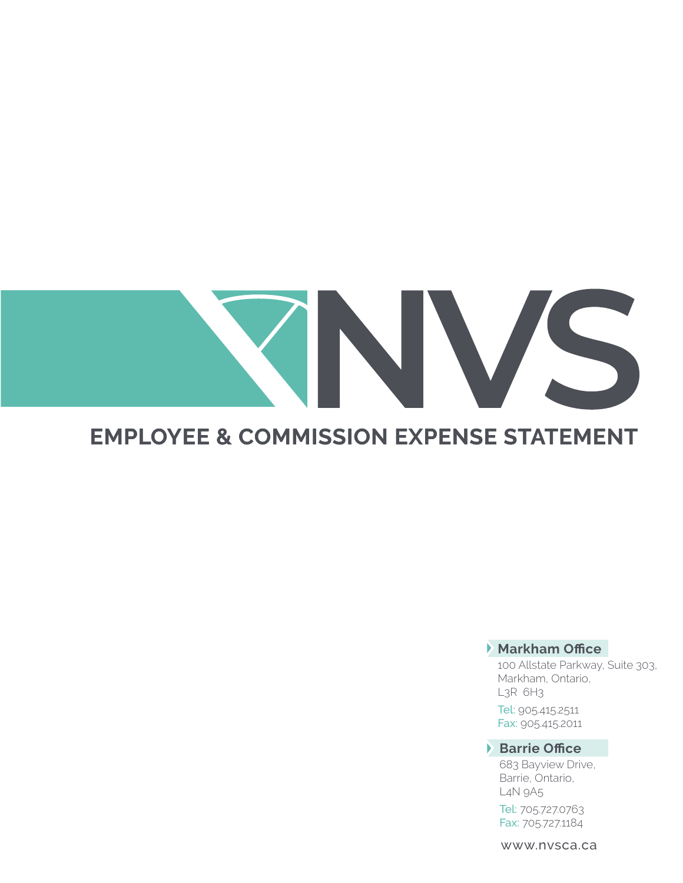# 

# **EMPLOYEE & COMMISSION EXPENSE STATEMENT**

# **Markham Office**

100 Allstate Parkway, Suite 303, Markham, Ontario, L3R 6H3

Tel: 905.415.2511 Fax: 905.415.2011

**Barrie Office**

683 Bayview Drive, Barrie, Ontario, L4N 9A5

Tel: 705.727.0763 Fax: 705.727.1184

www.nvsca.ca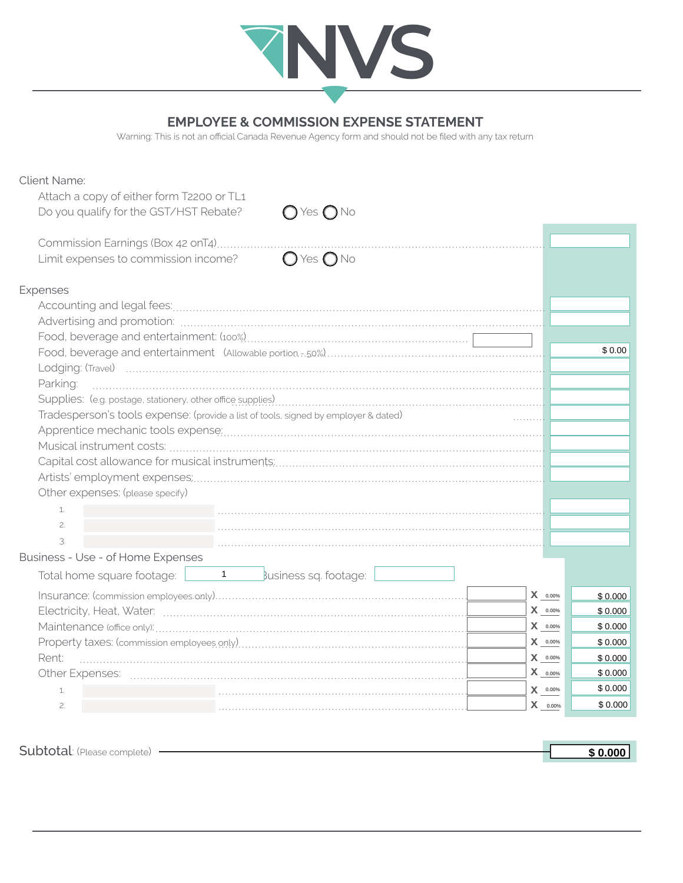

### **EMPLOYEE & COMMISSION EXPENSE STATEMENT**

Warning: This is not an official Canada Revenue Agency form and should not be filed with any tax return

| <b>Client Name:</b>                                                                                                                                                                                                            |                          |         |
|--------------------------------------------------------------------------------------------------------------------------------------------------------------------------------------------------------------------------------|--------------------------|---------|
| Attach a copy of either form T2200 or TL1                                                                                                                                                                                      |                          |         |
| Do you qualify for the GST/HST Rebate?<br>$\bigcirc$ Yes $\bigcirc$ No                                                                                                                                                         |                          |         |
| Commission Earnings (Box 42 onT4)                                                                                                                                                                                              |                          |         |
| $O$ Yes $O$ No<br>Limit expenses to commission income?                                                                                                                                                                         |                          |         |
| Expenses                                                                                                                                                                                                                       |                          |         |
|                                                                                                                                                                                                                                |                          |         |
|                                                                                                                                                                                                                                |                          |         |
|                                                                                                                                                                                                                                |                          |         |
|                                                                                                                                                                                                                                |                          | \$0.00  |
|                                                                                                                                                                                                                                |                          |         |
| Parking:                                                                                                                                                                                                                       |                          |         |
| Supplies: (e.g. postage, stationery, other office supplies) [11] content content content content content content content content content content content content content content content content content content content conte |                          |         |
| Tradesperson's tools expense: (provide a list of tools, signed by employer & dated)                                                                                                                                            |                          |         |
|                                                                                                                                                                                                                                |                          |         |
|                                                                                                                                                                                                                                |                          |         |
|                                                                                                                                                                                                                                |                          |         |
|                                                                                                                                                                                                                                |                          |         |
| Other expenses: (please specify)                                                                                                                                                                                               |                          |         |
| 1.                                                                                                                                                                                                                             |                          |         |
| 2.                                                                                                                                                                                                                             |                          |         |
| 3.                                                                                                                                                                                                                             |                          |         |
| Business - Use - of Home Expenses                                                                                                                                                                                              |                          |         |
| Total home square footage: $\begin{array}{ c c c c c }\n\hline\n1 & \quad \text{sublines} \end{array}$ sq. footage:                                                                                                            |                          |         |
|                                                                                                                                                                                                                                | $\bm{X}$ _0.00%          | \$0.000 |
|                                                                                                                                                                                                                                | $X_{0.00\%}$             | \$0.000 |
|                                                                                                                                                                                                                                | X 0.00%                  | \$0.000 |
|                                                                                                                                                                                                                                | X 0.00%                  | \$0.000 |
| Rent:                                                                                                                                                                                                                          | $\bm{X}$ _0.00%          | \$0.000 |
|                                                                                                                                                                                                                                | $\mathbf{X}_{\_0.00\%}$  | \$0.000 |
| 1.                                                                                                                                                                                                                             | $\pmb{\mathsf{X}}$ 0.00% | \$0.000 |
| 2.                                                                                                                                                                                                                             | $X = 0.00\%$             | \$0.000 |
|                                                                                                                                                                                                                                |                          |         |

Subtotal: (Please complete) -**\$ 0.000**